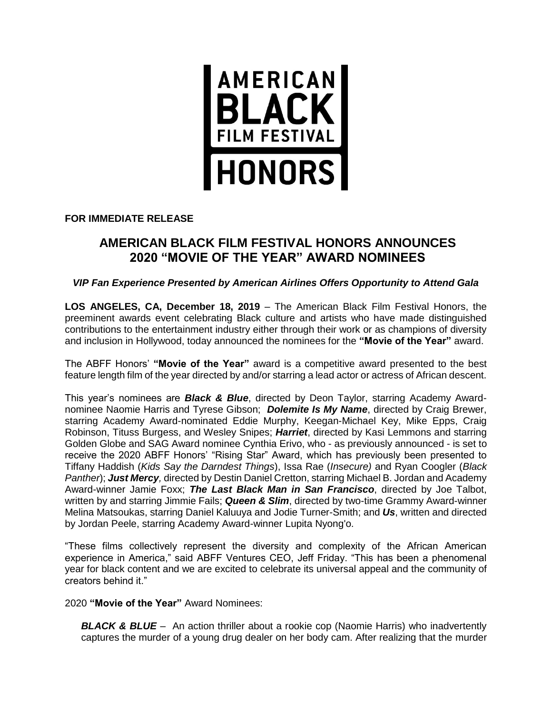

# **FOR IMMEDIATE RELEASE**

# **AMERICAN BLACK FILM FESTIVAL HONORS ANNOUNCES 2020 "MOVIE OF THE YEAR" AWARD NOMINEES**

## *VIP Fan Experience Presented by American Airlines Offers Opportunity to Attend Gala*

**LOS ANGELES, CA, December 18, 2019** – The American Black Film Festival Honors, the preeminent awards event celebrating Black culture and artists who have made distinguished contributions to the entertainment industry either through their work or as champions of diversity and inclusion in Hollywood, today announced the nominees for the **"Movie of the Year"** award.

The ABFF Honors' **"Movie of the Year"** award is a competitive award presented to the best feature length film of the year directed by and/or starring a lead actor or actress of African descent.

This year's nominees are *Black & Blue*, directed by Deon Taylor, starring Academy Awardnominee Naomie Harris and Tyrese Gibson; *Dolemite Is My Name*, directed by Craig Brewer, starring Academy Award-nominated Eddie Murphy, Keegan-Michael Key, Mike Epps, Craig Robinson, Tituss Burgess, and Wesley Snipes; *Harriet*, directed by Kasi Lemmons and starring Golden Globe and SAG Award nominee Cynthia Erivo, who - as previously announced - is set to receive the 2020 ABFF Honors' "Rising Star" Award, which has previously been presented to Tiffany Haddish (*Kids Say the Darndest Things*), Issa Rae (*Insecure)* and Ryan Coogler (*Black Panther*); *Just Mercy,* directed by Destin Daniel Cretton, starring Michael B. Jordan and Academy Award-winner Jamie Foxx; *The Last Black Man in San Francisco*, directed by Joe Talbot, written by and starring Jimmie Fails; *Queen & Slim*, directed by two-time Grammy Award-winner Melina Matsoukas, starring Daniel Kaluuya and Jodie Turner-Smith; and *Us*, written and directed by Jordan Peele, starring Academy Award-winner Lupita Nyong'o.

"These films collectively represent the diversity and complexity of the African American experience in America," said ABFF Ventures CEO, Jeff Friday. "This has been a phenomenal year for black content and we are excited to celebrate its universal appeal and the community of creators behind it."

2020 **"Movie of the Year"** Award Nominees:

**BLACK & BLUE** – An action thriller about a rookie cop (Naomie Harris) who inadvertently captures the murder of a young drug dealer on her body cam. After realizing that the murder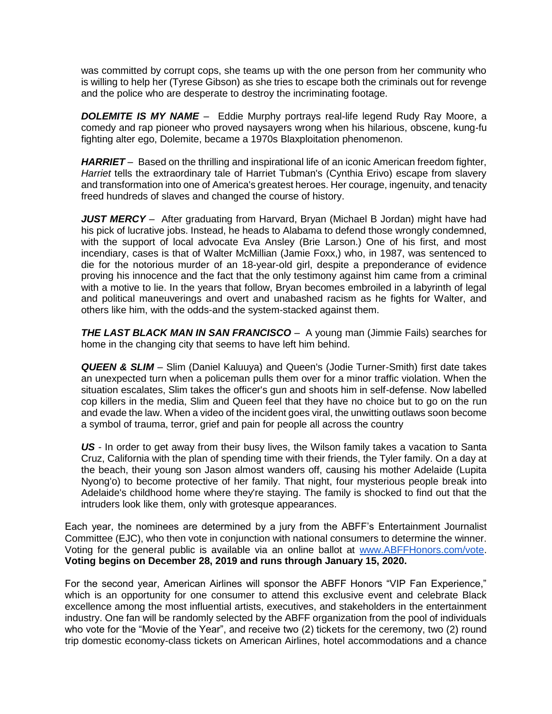was committed by corrupt cops, she teams up with the one person from her community who is willing to help her (Tyrese Gibson) as she tries to escape both the criminals out for revenge and the police who are desperate to destroy the incriminating footage.

*DOLEMITE IS MY NAME –* Eddie Murphy portrays real-life legend Rudy Ray Moore, a comedy and rap pioneer who proved naysayers wrong when his hilarious, obscene, kung-fu fighting alter ego, Dolemite, became a 1970s Blaxploitation phenomenon.

*HARRIET –* Based on the thrilling and inspirational life of an iconic American freedom fighter, *Harriet* tells the extraordinary tale of Harriet Tubman's (Cynthia Erivo) escape from slavery and transformation into one of America's greatest heroes. Her courage, ingenuity, and tenacity freed hundreds of slaves and changed the course of history.

*JUST MERCY –* After graduating from Harvard, Bryan (Michael B Jordan) might have had his pick of lucrative jobs. Instead, he heads to Alabama to defend those wrongly condemned, with the support of local advocate Eva Ansley (Brie Larson.) One of his first, and most incendiary, cases is that of Walter McMillian (Jamie Foxx,) who, in 1987, was sentenced to die for the notorious murder of an 18-year-old girl, despite a preponderance of evidence proving his innocence and the fact that the only testimony against him came from a criminal with a motive to lie. In the years that follow, Bryan becomes embroiled in a labyrinth of legal and political maneuverings and overt and unabashed racism as he fights for Walter, and others like him, with the odds-and the system-stacked against them.

*THE LAST BLACK MAN IN SAN FRANCISCO –* A young man (Jimmie Fails) searches for home in the changing city that seems to have left him behind.

*QUEEN & SLIM –* Slim (Daniel Kaluuya) and Queen's (Jodie Turner-Smith) first date takes an unexpected turn when a policeman pulls them over for a minor traffic violation. When the situation escalates, Slim takes the officer's gun and shoots him in self-defense. Now labelled cop killers in the media, Slim and Queen feel that they have no choice but to go on the run and evade the law. When a video of the incident goes viral, the unwitting outlaws soon become a symbol of trauma, terror, grief and pain for people all across the country

US - In order to get away from their busy lives, the Wilson family takes a vacation to Santa Cruz, California with the plan of spending time with their friends, the Tyler family. On a day at the beach, their young son Jason almost wanders off, causing his mother Adelaide (Lupita Nyong'o) to become protective of her family. That night, four mysterious people break into Adelaide's childhood home where they're staying. The family is shocked to find out that the intruders look like them, only with grotesque appearances.

Each year, the nominees are determined by a jury from the ABFF's Entertainment Journalist Committee (EJC), who then vote in conjunction with national consumers to determine the winner. Voting for the general public is available via an online ballot at [www.ABFFHonors.com/vote.](http://www.abffhonors.com/vote) **Voting begins on December 28, 2019 and runs through January 15, 2020.**

For the second year, American Airlines will sponsor the ABFF Honors "VIP Fan Experience," which is an opportunity for one consumer to attend this exclusive event and celebrate Black excellence among the most influential artists, executives, and stakeholders in the entertainment industry. One fan will be randomly selected by the ABFF organization from the pool of individuals who vote for the "Movie of the Year", and receive two (2) tickets for the ceremony, two (2) round trip domestic economy-class tickets on American Airlines, hotel accommodations and a chance